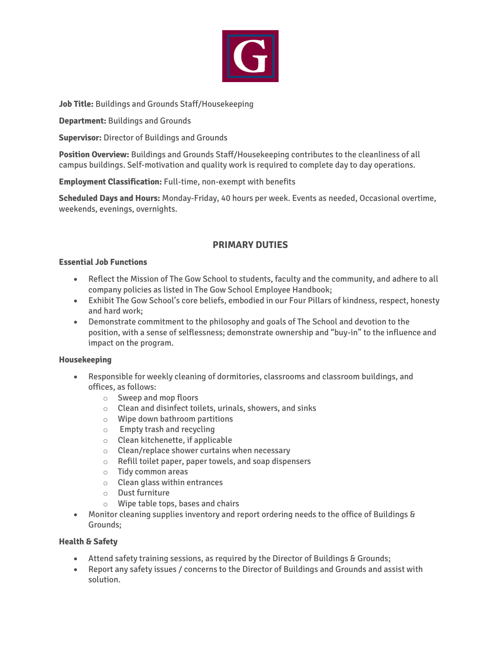

**Job Title:** Buildings and Grounds Staff/Housekeeping

**Department:** Buildings and Grounds

**Supervisor:** Director of Buildings and Grounds

**Position Overview:** Buildings and Grounds Staff/Housekeeping contributes to the cleanliness of all campus buildings. Self-motivation and quality work is required to complete day to day operations.

**Employment Classification:** Full-time, non-exempt with benefits

**Scheduled Days and Hours:** Monday-Friday, 40 hours per week. Events as needed, Occasional overtime, weekends, evenings, overnights.

# **PRIMARY DUTIES**

## **Essential Job Functions**

- Reflect the Mission of The Gow School to students, faculty and the community, and adhere to all company policies as listed in The Gow School Employee Handbook;
- Exhibit The Gow School's core beliefs, embodied in our Four Pillars of kindness, respect, honesty and hard work;
- Demonstrate commitment to the philosophy and goals of The School and devotion to the position, with a sense of selflessness; demonstrate ownership and "buy-in" to the influence and impact on the program.

## **Housekeeping**

- Responsible for weekly cleaning of dormitories, classrooms and classroom buildings, and offices, as follows:
	- o Sweep and mop floors
	- $\circ$  Clean and disinfect toilets, urinals, showers, and sinks
	- o Wipe down bathroom partitions
	- o Empty trash and recycling
	- $\circ$  Clean kitchenette, if applicable
	- o Clean/replace shower curtains when necessary
	- o Refill toilet paper, paper towels, and soap dispensers
	- o Tidy common areas
	- o Clean glass within entrances
	- o Dust furniture
	- o Wipe table tops, bases and chairs
- Monitor cleaning supplies inventory and report ordering needs to the office of Buildings & Grounds;

## **Health & Safety**

- Attend safety training sessions, as required by the Director of Buildings & Grounds;
- Report any safety issues / concerns to the Director of Buildings and Grounds and assist with solution.